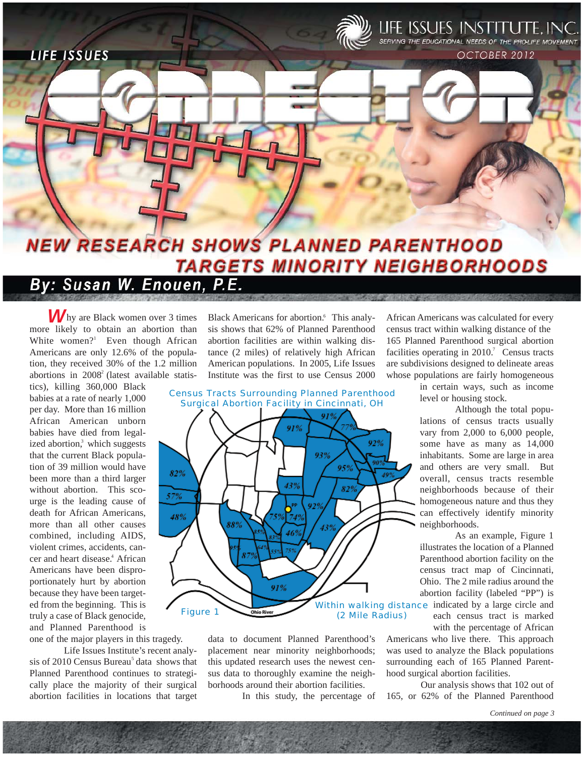

**LIFE ISSUES** 



OCTOBER 2012

# **NEW RESEARCH SHOWS PLANNED PARENTHOOD TARGETS MINORITY NEIGHBORHOODS**

# By: Susan W. Enouen, P.E.

hy are Black women over 3 times *W* more likely to obtain an abortion than White women?<sup>1</sup> Even though African Americans are only 12.6% of the population, they received 30% of the 1.2 million abortions in  $2008<sup>2</sup>$  (latest available statis-

tics), killing 360,000 Black babies at a rate of nearly 1,000 per day. More than 16 million African American unborn babies have died from legalized abortion,<sup>3</sup> which suggests that the current Black population of 39 million would have been more than a third larger without abortion. This scourge is the leading cause of death for African Americans, more than all other causes combined, including AIDS, violent crimes, accidents, cancer and heart disease.<sup>4</sup> African Americans have been disproportionately hurt by abortion because they have been targeted from the beginning. This is truly a case of Black genocide, and Planned Parenthood is one of the major players in this tragedy.

Life Issues Institute's recent analysis of 2010 Census Bureau<sup>5</sup> data shows that Planned Parenthood continues to strategically place the majority of their surgical abortion facilities in locations that target

Black Americans for abortion.<sup>6</sup> This analysis shows that 62% of Planned Parenthood abortion facilities are within walking distance (2 miles) of relatively high African American populations. In 2005, Life Issues Institute was the first to use Census 2000

*Census Tracts Surrounding Planned Parenthood Surgical Abortion Facility in Cincinnati, OH*



data to document Planned Parenthood's placement near minority neighborhoods; this updated research uses the newest census data to thoroughly examine the neighborhoods around their abortion facilities.

In this study, the percentage of

African Americans was calculated for every census tract within walking distance of the 165 Planned Parenthood surgical abortion facilities operating in  $2010$ . Census tracts are subdivisions designed to delineate areas whose populations are fairly homogeneous

> in certain ways, such as income level or housing stock.

Although the total populations of census tracts usually vary from 2,000 to 6,000 people, some have as many as 14,000 inhabitants. Some are large in area and others are very small. But overall, census tracts resemble neighborhoods because of their homogeneous nature and thus they can effectively identify minority neighborhoods.

As an example, Figure 1 illustrates the location of a Planned Parenthood abortion facility on the census tract map of Cincinnati, Ohio. The 2 mile radius around the abortion facility (labeled "PP") is

each census tract is marked with the percentage of African

Americans who live there. This approach was used to analyze the Black populations surrounding each of 165 Planned Parenthood surgical abortion facilities.

Our analysis shows that 102 out of 165, or 62% of the Planned Parenthood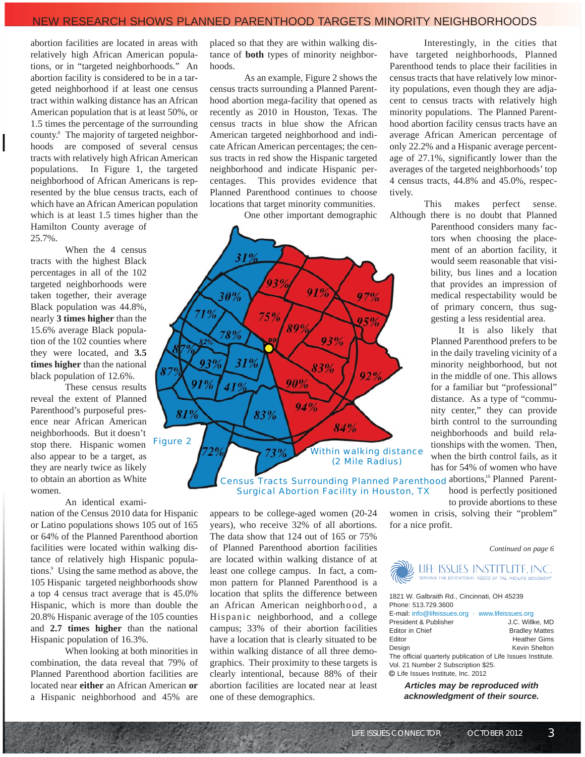### NEW RESEARCH SHOWS PLANNED PARENTHOOD TARGETS MINORITY NEIGHBORHOODS

abortion facilities are located in areas with relatively high African American populations, or in "targeted neighborhoods." An abortion facility is considered to be in a targeted neighborhood if at least one census tract within walking distance has an African American population that is at least 50%, or 1.5 times the percentage of the surrounding county.<sup>8</sup> The majority of targeted neighborhoods are composed of several census tracts with relatively high African American populations. In Figure 1, the targeted neighborhood of African Americans is represented by the blue census tracts, each of which have an African American population which is at least 1.5 times higher than the Hamilton County average of 25.7%.

When the 4 census tracts with the highest Black percentages in all of the 102 targeted neighborhoods were taken together, their average Black population was 44.8%, nearly **3 times higher** than the 15.6% average Black population of the 102 counties where they were located, and **3.5 times higher** than the national black population of 12.6%.

These census results reveal the extent of Planned Parenthood's purposeful presence near African American neighborhoods. But it doesn't stop there. Hispanic women also appear to be a target, as they are nearly twice as likely to obtain an abortion as White women.

#### An identical exami-

nation of the Census 2010 data for Hispanic or Latino populations shows 105 out of 165 or 64% of the Planned Parenthood abortion facilities were located within walking distance of relatively high Hispanic populations.<sup>9</sup> Using the same method as above, the 105 Hispanic targeted neighborhoods show a top 4 census tract average that is 45.0% Hispanic, which is more than double the 20.8% Hispanic average of the 105 counties and **2.7 times higher** than the national Hispanic population of 16.3%.

When looking at both minorities in combination, the data reveal that 79% of Planned Parenthood abortion facilities are located near **either** an African American **or** a Hispanic neighborhood and 45% are

placed so that they are within walking distance of **both** types of minority neighborhoods.

As an example, Figure 2 shows the census tracts surrounding a Planned Parenthood abortion mega-facility that opened as recently as 2010 in Houston, Texas. The census tracts in blue show the African American targeted neighborhood and indicate African American percentages; the census tracts in red show the Hispanic targeted neighborhood and indicate Hispanic percentages. This provides evidence that Planned Parenthood continues to choose locations that target minority communities.

One other important demographic



Census Tracts Surrounding Planned Parenthood abortions,<sup>10</sup> Planned Parent-*Surgical Abortion Facility in Houston, TX*

appears to be college-aged women (20-24 years), who receive 32% of all abortions. The data show that 124 out of 165 or 75% of Planned Parenthood abortion facilities are located within walking distance of at least one college campus. In fact, a common pattern for Planned Parenthood is a location that splits the difference between an African American neighborhood, a Hispanic neighborhood, and a college campus; 33% of their abortion facilities have a location that is clearly situated to be within walking distance of all three demographics. Their proximity to these targets is clearly intentional, because 88% of their abortion facilities are located near at least one of these demographics.

Interestingly, in the cities that have targeted neighborhoods, Planned Parenthood tends to place their facilities in census tracts that have relatively low minority populations, even though they are adjacent to census tracts with relatively high minority populations. The Planned Parenthood abortion facility census tracts have an average African American percentage of only 22.2% and a Hispanic average percentage of 27.1%, significantly lower than the averages of the targeted neighborhoods' top 4 census tracts, 44.8% and 45.0%, respectively.

This makes perfect sense. Although there is no doubt that Planned

Parenthood considers many factors when choosing the placement of an abortion facility, it would seem reasonable that visibility, bus lines and a location that provides an impression of medical respectability would be of primary concern, thus suggesting a less residential area.

It is also likely that Planned Parenthood prefers to be in the daily traveling vicinity of a minority neighborhood, but not in the middle of one. This allows for a familiar but "professional" distance. As a type of "community center," they can provide birth control to the surrounding neighborhoods and build relationships with the women. Then, when the birth control fails, as it has for 54% of women who have

hood is perfectly positioned to provide abortions to these

women in crisis, solving their "problem" for a nice profit.

*Continued on page 6*



1821 W. Galbraith Rd., Cincinnati, OH 45239 Phone: 513.729.3600 E-mail: info@lifeissues.org · www.lifeissues.org President & Publisher J.C. Willke, MD Editor in Chief **Bradley Mattes** Editor **Heather Gims** Design Kevin Shelton The official quarterly publication of Life Issues Institute. Vol. 21 Number 2 Subscription \$25. Life Issues Institute, Inc. 2012

*Articles may be reproduced with acknowledgment of their source.*